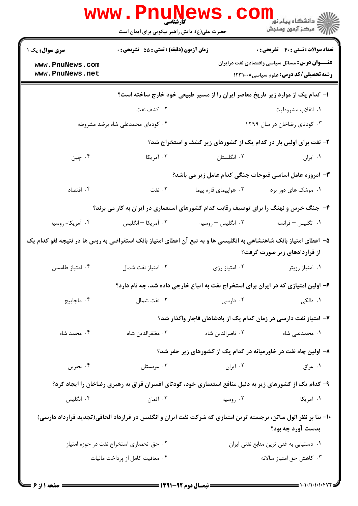|                                                                                                                                      | www . Pni<br>کارشناسی<br>حضرت علی(ع): دانش راهبر نیکویی برای ایمان است | WS                                                                                                     | لاد دانشگاه پيام نور<br>الا دانشگاه پيام نور<br>الا                                                                                                   |
|--------------------------------------------------------------------------------------------------------------------------------------|------------------------------------------------------------------------|--------------------------------------------------------------------------------------------------------|-------------------------------------------------------------------------------------------------------------------------------------------------------|
| <b>سری سوال :</b> یک ۱<br>www.PnuNews.com<br>www.PnuNews.net                                                                         | زمان آزمون (دقیقه) : تستی : 55 آتشریحی : 0                             |                                                                                                        | <b>تعداد سوالات : تستی : 40 - تشریحی : 0</b><br><b>عنـــوان درس:</b> مسائل سیاسی واقتصادی نفت درایران<br><b>رشته تحصیلی/کد درس:</b> علوم سیاسی1۲۳۱۰۰۸ |
|                                                                                                                                      |                                                                        | ا– کدام یک از موارد زیر تاریخ معاصر ایران را از مسیر طبیعی خود خارج ساخته است؟                         |                                                                                                                                                       |
|                                                                                                                                      | ۰۲ کشف نفت                                                             |                                                                                                        | ۰۱ انقلاب مشروطيت                                                                                                                                     |
|                                                                                                                                      | ۰۴ کودتای محمدعلی شاه برضد مشروطه                                      |                                                                                                        | ۰۳ کودتای رضاخان در سال ۱۲۹۹                                                                                                                          |
|                                                                                                                                      |                                                                        | ۲- نفت برای اولین بار در کدام یک از کشورهای زیر کشف و استخراج شد؟                                      |                                                                                                                                                       |
| ۰۴ چين                                                                                                                               | ۰۳ آمریکا                                                              | ۰۲ انگلستان                                                                                            | ۰۱ ایران                                                                                                                                              |
|                                                                                                                                      |                                                                        | ۳- امروزه عامل اساسی فتوحات جنگی کدام عامل زیر می باشد؟                                                |                                                                                                                                                       |
| ۰۴ اقتصاد                                                                                                                            | ۰۳ نفت                                                                 | ۰۲ هواپیمای قاره پیما                                                                                  | ۰۱ موشک های دور برد                                                                                                                                   |
| ۴- جنگ خرس و نهنگ را برای توصیف رقابت کدام کشورهای استعماری در ایران به کار می برند؟                                                 |                                                                        |                                                                                                        |                                                                                                                                                       |
| ۰۴ آمریکا- روسیه                                                                                                                     | ۰۳ آمریکا – انگلیس                                                     | ۰۲ انگلیس – روسیه                                                                                      | ۰۱ انگلیس – فرانسه                                                                                                                                    |
| ۵– اعطای امتیاز بانک شاهنشاهی به انگلیسی ها و به تبع آن اعطای امتیاز بانک استقراضی به روس ها در نتیجه لغو کدام یک                    |                                                                        |                                                                                                        | از قراردادهای زیر صورت گرفت؟                                                                                                                          |
| ۰۴ امتياز طامسن                                                                                                                      | ۰۳ امتياز نفت شمال                                                     | ۰۲ امتياز رژي                                                                                          | ۰۱ امتياز رويتر                                                                                                                                       |
|                                                                                                                                      |                                                                        | ۶– اولین امتیازی که در ایران برای استخراج نفت به اتباع خارجی داده شد، چه نام دارد؟                     |                                                                                                                                                       |
| ۰۴ ماچاپیچ                                                                                                                           | ۰۳ نفت شمال                                                            | ۰۲ دارسی                                                                                               | ۰۱ دالکی                                                                                                                                              |
|                                                                                                                                      |                                                                        | ۷– امتیاز نفت دارسی در زمان کدام یک از پادشاهان قاجار واگذار شد؟                                       |                                                                                                                                                       |
| ۰۴ محمد شاه                                                                                                                          | ۰۳ مظفرالدين شاه                                                       | ٠٢ ناصرالدين شاه                                                                                       | ۰۱ محمدعلی شاه                                                                                                                                        |
|                                                                                                                                      |                                                                        | ۸– اولین چاه نفت در خاورمیانه در کدام یک از کشورهای زیر حفر شد؟                                        |                                                                                                                                                       |
| ۰۴ بحرين                                                                                                                             | ۰۳ عربستان                                                             | ۰۲ ایران                                                                                               | ۰۱ عراق                                                                                                                                               |
|                                                                                                                                      |                                                                        | ۹- کدام یک از کشورهای زیر به دلیل منافع استعماری خود، کودتای افسران قزاق به رهبری رضاخان را ایجاد کرد؟ |                                                                                                                                                       |
| ۰۴ انگلیس                                                                                                                            | ۰۳ آلمان                                                               | ۰۲ روسیه                                                                                               | ۰۱ آمریکا                                                                                                                                             |
| +۱- بنا بر نظر الول ساتن، برجسته ترین امتیازی که شرکت نفت ایران و انگلیس در قرارداد الحاقی(تجدید قرارداد دارسی)<br>بدست آورد چه بود؟ |                                                                        |                                                                                                        |                                                                                                                                                       |
|                                                                                                                                      | ٠٢ حق انحصارى استخراج نفت در حوزه امتياز                               |                                                                                                        | ٠١ دستيابي به غني ترين منابع نفتي ايران                                                                                                               |
|                                                                                                                                      | ۰۴ معافیت کامل از پرداخت مالیات                                        |                                                                                                        | ۰۳ کاهش حق امتیاز سالانه                                                                                                                              |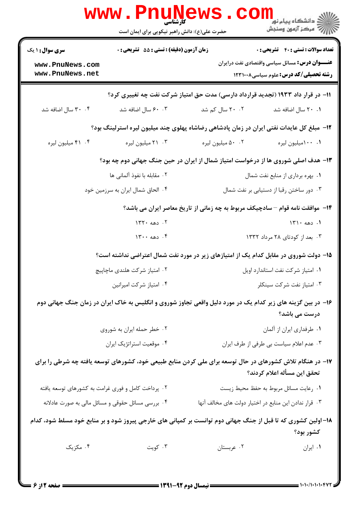|                                                              | <b>www.PnuNews</b><br><b>کارشناسی</b>                                                             |                                                                                                               | دانشگاه پیام نور<br>ا∛ مرکز آزمهن وسنجش                                                               |  |
|--------------------------------------------------------------|---------------------------------------------------------------------------------------------------|---------------------------------------------------------------------------------------------------------------|-------------------------------------------------------------------------------------------------------|--|
|                                                              | حضرت علی(ع): دانش راهبر نیکویی برای ایمان است<br><b>زمان آزمون (دقیقه) : تستی : 55 تشریحی : 0</b> |                                                                                                               | <b>تعداد سوالات : تستی : 40 قشریحی : 0</b>                                                            |  |
| <b>سری سوال : ۱ یک</b><br>www.PnuNews.com<br>www.PnuNews.net |                                                                                                   |                                                                                                               | <b>عنـــوان درس:</b> مسائل سیاسی واقتصادی نفت درایران<br><b>رشته تحصیلی/کد درس:</b> علوم سیاسی1۲۳۱۰۰۸ |  |
|                                                              |                                                                                                   | ۱۱– در قرار داد ۱۹۳۳ (تجدید قرارداد دارسی) مدت حق امتیاز شرکت نفت چه تغییری کرد؟                              |                                                                                                       |  |
| ۰۴ سال اضافه شد                                              | ۰.۳ ۶۰ سال اضافه شد                                                                               | ۲۰ ۲۰ سال کم شد                                                                                               | ۰.۱ ۲۰ سال اضافه شد                                                                                   |  |
|                                                              |                                                                                                   | <b>۱۲</b> - مبلغ کل عایدات نفتی ایران در زمان پادشاهی رضاشاه پهلوی چند میلیون لیره استرلینگ بود؟              |                                                                                                       |  |
| ۴. ۴۱ میلیون لیره                                            | ۰۳ میلیون لیره                                                                                    | ۰.۲ میلیون لیره                                                                                               | ۰۰ ۱۰۰میلیون لیره                                                                                     |  |
|                                                              |                                                                                                   | ۱۳- هدف اصلی شوروی ها از درخواست امتیاز شمال از ایران در حین جنگ جهانی دوم چه بود؟                            |                                                                                                       |  |
|                                                              | ٢.  مقابله با نفوذ آلمانی ها                                                                      |                                                                                                               | ۰۱ بهره برداری از منابع نفت شمال                                                                      |  |
|                                                              | ۰۴ الحاق شمال ایران به سرزمین خود                                                                 |                                                                                                               | ٠٣ دور ساختن رقبا از دستيابي بر نفت شمال                                                              |  |
|                                                              | ۱۴– موافقت نامه قوام – سادچیکف مربوط به چه زمانی از تاریخ معاصر ایران می باشد؟                    |                                                                                                               |                                                                                                       |  |
|                                                              | ۰۲ دهه ۱۳۲۰                                                                                       | ۰۱ دهه ۱۳۱۰                                                                                                   |                                                                                                       |  |
|                                                              | $14 \cdot 480$ . ۶                                                                                | ۰۳ بعد از کودتای ۲۸ مرداد ۱۳۳۲                                                                                |                                                                                                       |  |
|                                                              | ۱۵– دولت شوروی در مقابل کدام یک از امتیازهای زیر در مورد نفت شمال اعتراضی نداشته است؟             |                                                                                                               |                                                                                                       |  |
|                                                              | ۰۲ امتیاز شرکت هلندی ماچاپیچ                                                                      |                                                                                                               | ٠١ امتياز شركت نفت استاندارد اويل                                                                     |  |
|                                                              | ۰۴ امتياز شركت اميرانين                                                                           |                                                                                                               | ۰۳ امتياز نفت شركت سينكلر                                                                             |  |
|                                                              |                                                                                                   | ۱۶– در بین گزینه های زیر کدام یک در مورد دلیل واقعی تجاوز شوروی و انگلیس به خاک ایران در زمان جنگ جهانی دوم   | درست می باشد؟                                                                                         |  |
|                                                              | ۰۲ خطر حمله ایران به شوروی                                                                        | ٠١ طرفداري ايران از آلمان                                                                                     |                                                                                                       |  |
|                                                              | ۰۴ موقعیت استراتژیک ایران                                                                         |                                                                                                               | ٠٣ عدم اعلام سياست بي طرفي از طرف ايران                                                               |  |
|                                                              |                                                                                                   | ۱۷– در هنگام تلاش کشورهای در حال توسعه برای ملی کردن منابع طبیعی خود، کشورهای توسعه یافته چه شرطی را برای     | تحقق این مسأله اعلام کردند؟                                                                           |  |
|                                                              | ۰۱ رعایت مسائل مربوط به حفظ محیط زیست<br>۰۲ پرداخت کامل و فوری غرامت به کشورهای توسعه یافته       |                                                                                                               |                                                                                                       |  |
|                                                              | ۰۴ بررسی مسائل حقوقی و مسائل مالی به صورت عادلانه                                                 | ٠٣ قرار ندادن اين منابع در اختيار دولت هاى مخالف آنها                                                         |                                                                                                       |  |
|                                                              |                                                                                                   | ۱۸– اولین کشوری که تا قبل از جنگ جهانی دوم توانست بر کمپانی های خارجی پیروز شود و بر منابع خود مسلط شود، کدام | كشور بود؟                                                                                             |  |
| ۰۴ مکزیک                                                     | ۰۳ کویت                                                                                           | ۰۲ عربستان                                                                                                    | ٠١ ايران                                                                                              |  |
|                                                              |                                                                                                   |                                                                                                               |                                                                                                       |  |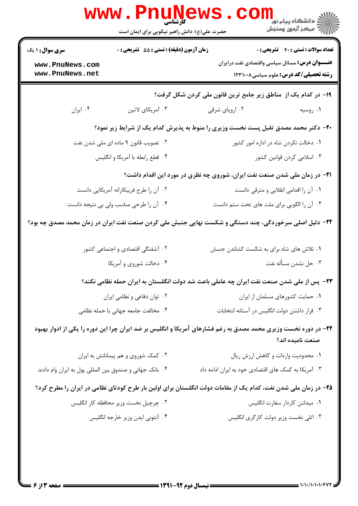| <b>تعداد سوالات : تستي : 40 - تشريحي : 0</b>                                                                                       | زمان آزمون (دقیقه) : تستی : 55 آتشریحی : 0<br><b>سری سوال : ۱ یک</b> |                                                         |  |  |
|------------------------------------------------------------------------------------------------------------------------------------|----------------------------------------------------------------------|---------------------------------------------------------|--|--|
| <b>عنـــوان درس:</b> مسائل سیاسی واقتصادی نفت درایران<br><b>رشته تحصیلی/کد درس: علوم سیاسی12310 ۱۲۳۱۰۰۸</b>                        |                                                                      | www.PnuNews.com<br>www.PnuNews.net                      |  |  |
| ۱۹- در کدام یک از ًمناطق زیر جامع ترین قانون ملی کردن شکل گرفت؟                                                                    |                                                                      |                                                         |  |  |
| ۰۲ اروپای شرقی<br>۰۱ روسیه                                                                                                         | ۰۳ آمریکای لاتین                                                     | ۰۴ ایران                                                |  |  |
| +۲- دکتر محمد مصدق تقبل پست نخست وزیری را منوط به پذیرش کدام یک از شرایط زیر نمود؟                                                 |                                                                      |                                                         |  |  |
| ۰۱ دخالت نکردن شاه در اداره امور کشور                                                                                              | ۰۲ تصویب قانون ۹ ماده ای ملی شدن نفت                                 |                                                         |  |  |
| ۰۳ اسلامی کردن قوانین کشور                                                                                                         | ۰۴ قطع رابطه با آمريكا و انگليس                                      |                                                         |  |  |
| <b>۲۱</b> - در زمان ملی شدن صنعت نفت ایران، شوروی چه نظری در مورد این اقدام داشت؟                                                  |                                                                      |                                                         |  |  |
| ٠١ آن را اقدامي انقلابي و مترقى دانست                                                                                              | ۰۲ آن را طرح فریبکارانه آمریکایی دانست                               |                                                         |  |  |
| ۰۳ آن را الگویی برای ملت های تحت ستم دانست                                                                                         | ۰۴ آن را طرحی مناسب ولی بی نتیجه دانست                               |                                                         |  |  |
| ۲۲- دلیل اصلی سرخوردگی، چند دستگی و شکست نهایی جنبش ملی کردن صنعت نفت ایران در زمان محمد مصدق چه بود؟                              |                                                                      |                                                         |  |  |
| ٠١ تلاش های شاه برای به شکست کشاندن جنبش                                                                                           | ۰۲ آشفتگی اقتصادی و اجتماعی کشور                                     |                                                         |  |  |
| ۰۳ حل نشدن مسأله نفت                                                                                                               | ۰۴ دخالت شوروی و آمریکا                                              |                                                         |  |  |
| <b>۲۳</b> - پس از ملی شدن صنعت نفت ایران چه عاملی باعث شد دولت انگلستان به ایران حمله نظامی نکند؟                                  |                                                                      |                                                         |  |  |
| ٠١ حمايت كشورهاى مسلمان از ايران                                                                                                   | ۰۲ توان دفاعی و نظامی ایران                                          |                                                         |  |  |
| ۰۳ قرار داشتن دولت انگلیس در آستانه انتخابات                                                                                       | ۰۴ مخالفت جامعه جهانی با حمله نظامی                                  |                                                         |  |  |
| ۲۴- در دوره نخست وزیری محمد مصدق به رغم فشارهای آمریکا و انگلیس بر ضد ایران چرا این دوره را یکی از ادوار بهبود<br>صنعت نامیده اند؟ |                                                                      |                                                         |  |  |
| ۰۱ محدودیت واردات و کاهش ارزش ریال                                                                                                 | ۰۲ کمک شوروی و هم پیمانانش به ایران                                  |                                                         |  |  |
| ۰۳ آمریکا به کمک های اقتصادی خود به ایران ادامه داد                                                                                |                                                                      | ۰۴ بانک جهانی و صندوق بین المللی پول به ایران وام دادند |  |  |
| ۲۵– در زمان ملی شدن نفت، کدام یک از مقامات دولت انگلستان برای اولین بار طرح کودتای نظامی در ایران را مطرح کرد؟                     |                                                                      |                                                         |  |  |
| ٠١ ميدلتن كاردار سفارت انگليس                                                                                                      | ۰۲ چرچیل نخست وزیر محافظه کار انگلیس                                 |                                                         |  |  |
| ۰۳ اتلی نخست وزیر دولت کارگری انگلیس                                                                                               | ۰۴ آنتونی ایدن وزیر خارجه انگلیس                                     |                                                         |  |  |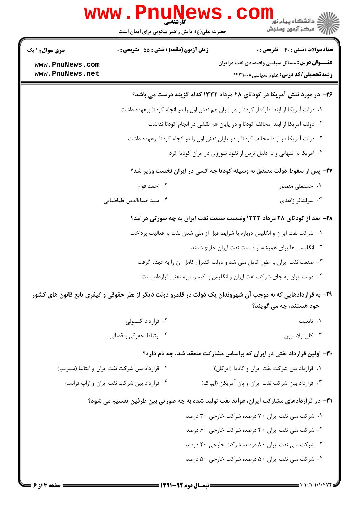|                                    | www.PnuNews.<br>حضرت علی(ع): دانش راهبر نیکویی برای ایمان است                        |  | $\textbf{Coll}_{\text{split,light}}$<br>ج ' مرڪز آزمون وسنڊش                                                  |  |  |
|------------------------------------|--------------------------------------------------------------------------------------|--|---------------------------------------------------------------------------------------------------------------|--|--|
| <b>سری سوال :</b> ۱ یک             | <b>زمان آزمون (دقیقه) : تستی : 55 تشریحی : 0</b>                                     |  | <b>تعداد سوالات : تستي : 40 قشريحي : 0</b>                                                                    |  |  |
| www.PnuNews.com<br>www.PnuNews.net |                                                                                      |  | <b>عنـــوان درس:</b> مسائل سیاسی واقتصادی نفت درایران<br><b>رشته تحصیلی/کد درس:</b> علوم سیاسی1۲۳۱۰۰۸         |  |  |
|                                    |                                                                                      |  | ۲۶- در مورد نقش آمریکا در کودتای ۲۸ مرداد ۱۳۳۲ کدام گزینه درست می باشد؟                                       |  |  |
|                                    |                                                                                      |  | ۰۱ دولت آمریکا از ابتدا طرفدار کودتا و در پایان هم نقش اول را در انجام کودتا برعهده داشت                      |  |  |
|                                    | ۰۲ دولت آمریکا از ابتدا مخالف کودتا و در پایان هم نقشی در انجام کودتا نداشت          |  |                                                                                                               |  |  |
|                                    | ۰۳ دولت آمریکا در ابتدا مخالف کودتا و در پایان نقش اول را در انجام کودتا برعهده داشت |  |                                                                                                               |  |  |
|                                    | ۰۴ آمریکا به تنهایی و به دلیل ترس از نفوذ شوروی در ایران کودتا کرد                   |  |                                                                                                               |  |  |
|                                    | ۲۷- پس از سقوط دولت مصدق به وسیله کودتا چه کسی در ایران نخست وزیر شد؟                |  |                                                                                                               |  |  |
|                                    | ۰۲ احمد قوام                                                                         |  | ۰۱ حسنعلی منصور                                                                                               |  |  |
|                                    | ۰۴ سید ضیاءالدین طباطبایی                                                            |  | ۰۳ سرلشگر زاهدی                                                                                               |  |  |
|                                    | ۲۸- بعد از کودتای ۲۸ مرداد ۱۳۳۲ وضعیت صنعت نفت ایران به چه صورتی درآمد؟              |  |                                                                                                               |  |  |
|                                    |                                                                                      |  | ۰۱ شرکت نفت ایران و انگلیس دوباره با شرایط قبل از ملی شدن نفت به فعالیت پرداخت                                |  |  |
|                                    | ۰۲ انگلیسی ها برای همیشه از صنعت نفت ایران خارج شدند                                 |  |                                                                                                               |  |  |
|                                    | ۰۳ صنعت نفت ایران به طور کامل ملی شد و دولت کنترل کامل آن را به عهده گرفت            |  |                                                                                                               |  |  |
|                                    |                                                                                      |  | ۰۴ دولت ایران به جای شرکت نفت ایران و انگلیس با کنسرسیوم نفتی قرارداد بست                                     |  |  |
|                                    |                                                                                      |  | ۲۹- به قراردادهایی که به موجب آن شهروندان یک دولت در قلمرو دولت دیگر از نظر حقوقی و کیفری تابع قانون های کشور |  |  |
|                                    |                                                                                      |  | خود هستند، چه مي گويند؟                                                                                       |  |  |
|                                    | ۰۲ قرارداد کنسولی                                                                    |  | ۰۱ تابعیت                                                                                                     |  |  |
|                                    | ۰۴ ارتباط حقوقی و قضائی                                                              |  | ۰۳ کاپیتولاسیون                                                                                               |  |  |
|                                    |                                                                                      |  | ۳۰- اولین قرارداد نفتی در ایران که براساس مشارکت منعقد شد، چه نام دارد؟                                       |  |  |
|                                    | ۰۲ قرارداد بین شرکت نفت ایران و ایتالیا (سیریپ)                                      |  | ٠١ قرارداد بين شركت نفت ايران و كانادا (ايركان)                                                               |  |  |
|                                    | ۰۴ قرارداد بین شرکت نفت ایران و اراپ فرانسه                                          |  | ۰۳ قرارداد بین شرکت نفت ایران و پان آمریکن (ایپاک)                                                            |  |  |
|                                    |                                                                                      |  | ۳۱– در قراردادهای مشارکت ایران، عواید نفت تولید شده به چه صورتی بین طرفین تقسیم می شود؟                       |  |  |
|                                    |                                                                                      |  | ۰۱ شرکت ملی نفت ایران ۷۰ درصد، شرکت خارجی ۳۰ درصد                                                             |  |  |
|                                    |                                                                                      |  | ۰۲ شرکت ملی نفت ایران ۴۰ درصد، شرکت خارجی ۶۰ درصد                                                             |  |  |
|                                    |                                                                                      |  | ۰۳ شرکت ملی نفت ایران ۸۰ درصد، شرکت خارجی ۲۰ درصد                                                             |  |  |
|                                    |                                                                                      |  | ۰۴ شرکت ملی نفت ایران ۵۰ درصد، شرکت خارجی ۵۰ درصد                                                             |  |  |

۰۱۰۱۰/۱۰۱۰۱۰۴۷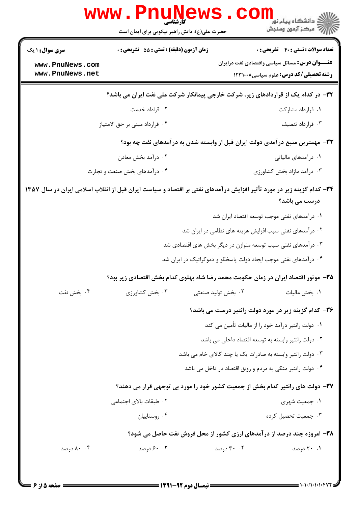|                                    | <b>WWW</b><br>کا, شناسی<br>حضرت علی(ع): دانش راهبر نیکویی برای ایمان است                                             |                    | ڪ دانشڪاه پيا <sub>م</sub> نور<br><mark>√</mark> مرڪز آزمون وسنڊش                                     |
|------------------------------------|----------------------------------------------------------------------------------------------------------------------|--------------------|-------------------------------------------------------------------------------------------------------|
| <b>سری سوال :</b> ۱ یک             | <b>زمان آزمون (دقیقه) : تستی : 55 تشریحی : 0</b>                                                                     |                    | <b>تعداد سوالات : تستي : 40 - تشريحي : 0</b>                                                          |
| www.PnuNews.com<br>www.PnuNews.net |                                                                                                                      |                    | <b>عنـــوان درس:</b> مسائل سیاسی واقتصادی نفت درایران<br><b>رشته تحصیلی/کد درس:</b> علوم سیاسی1۲۳۱۰۰۸ |
|                                    | ۳۲- در کدام یک از قراردادهای زیر، شرکت خارجی پیمانکار شرکت ملی نفت ایران می باشد؟                                    |                    |                                                                                                       |
|                                    | ۰۲ قراداد خدمت                                                                                                       |                    | ۰۱ قرارداد مشارکت                                                                                     |
|                                    | ۰۴ قرارداد مبنى بر حق الامتياز                                                                                       |                    | ۰۳ قرارداد تنصيف                                                                                      |
|                                    | ۳۳- مهمترین منبع درآمدی دولت ایران قبل از وابسته شدن به درآمدهای نفت چه بود؟                                         |                    |                                                                                                       |
|                                    | ۰۲ درآمد بخش معادن                                                                                                   |                    | ۰۱ درآمدهای مالیاتی                                                                                   |
|                                    | ۰۴ درآمدهای بخش صنعت و تجارت                                                                                         |                    | ۰۳ درآمد مازاد بخش کشاورزی                                                                            |
|                                    | ۳۴- کدام گزینه زیر در مورد تأثیر افزایش درآمدهای نفتی بر اقتصاد و سیاست ایران قبل از انقلاب اسلامی ایران در سال ۱۳۵۷ |                    | درست می باشد؟                                                                                         |
|                                    |                                                                                                                      |                    | ٠١ درآمدهاى نفتى موجب توسعه اقتصاد ايران شد                                                           |
|                                    |                                                                                                                      |                    | ۰۲ درآمدهای نفتی سبب افزایش هزینه های نظامی در ایران شد                                               |
|                                    |                                                                                                                      |                    | ۰۳ درآمدهای نفتی سبب توسعه متوازن در دیگر بخش های اقتصادی شد                                          |
|                                    |                                                                                                                      |                    | ۰۴ درآمدهای نفتی موجب ایجاد دولت پاسخگو و دموکراتیک در ایران شد                                       |
|                                    | ۳۵- موتور اقتصاد ایران در زمان حکومت محمد رضا شاه پهلوی کدام بخش اقتصادی زیر بود؟                                    |                    |                                                                                                       |
| ۰۴ بخش نفت                         | ۰۳ بخش کشاورزی                                                                                                       | ۰۲ بخش تولید صنعتی | ۰۱ بخش مالیات                                                                                         |
|                                    |                                                                                                                      |                    | ۳۶- کدام گزینه زیر در مورد دولت رانتیر درست می باشد؟                                                  |
|                                    |                                                                                                                      |                    | ۰۱ دولت رانتیر درآمد خود را از مالیات تأمین می کند                                                    |
|                                    |                                                                                                                      |                    | ۰۲ دولت رانتیر وابسته به توسعه اقتصاد داخلی می باشد                                                   |
|                                    |                                                                                                                      |                    | ۰۳ دولت رانتیر وابسته به صادرات یک یا چند کالای خام می باشد                                           |
|                                    |                                                                                                                      |                    | ۰۴ دولت رانتیر متکی به مردم و رونق اقتصاد در داخل می باشد                                             |
|                                    | ۳۷- دولت های رانتیر کدام بخش از جمعیت کشور خود را مورد بی توجهی قرار می دهند؟                                        |                    |                                                                                                       |
|                                    | ۰۲ طبقات بالای اجتماعی                                                                                               |                    | ۰۱ جمعیت شهری                                                                                         |
|                                    | ۰۴ روستاییان                                                                                                         |                    | ۰۳ جمعیت تحصیل کرده                                                                                   |
|                                    | <b>۳۸- امروزه چند درصد از درآمدهای ارزی کشور از محل فروش نفت حاصل می شود؟</b>                                        |                    |                                                                                                       |
| ۰. ۸۰ درصد                         | ۰۰ ۶۰ درصد                                                                                                           | ۰۲ درصد            | ۰۱ ۲۰ درصد                                                                                            |
|                                    |                                                                                                                      |                    |                                                                                                       |